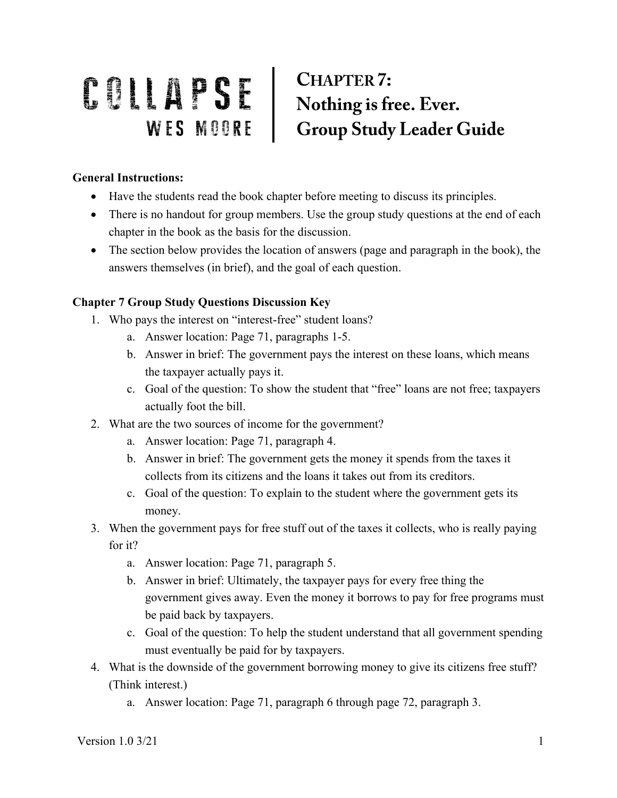## COLLAPSE CHAPTER 7:<br>
WES MOORE Group Study Leader Guide

## **General Instructions:**

- Have the students read the book chapter before meeting to discuss its principles.
- There is no handout for group members. Use the group study questions at the end of each chapter in the book as the basis for the discussion.
- The section below provides the location of answers (page and paragraph in the book), the answers themselves (in brief), and the goal of each question.

## **Chapter 7 Group Study Questions Discussion Key**

- 1. Who pays the interest on "interest-free" student loans?
	- a. Answer location: Page 71, paragraphs 1-5.
	- b. Answer in brief: The government pays the interest on these loans, which means the taxpayer actually pays it.
	- c. Goal of the question: To show the student that "free" loans are not free; taxpayers actually foot the bill.
- 2. What are the two sources of income for the government?
	- a. Answer location: Page 71, paragraph 4.
	- b. Answer in brief: The government gets the money it spends from the taxes it collects from its citizens and the loans it takes out from its creditors.
	- c. Goal of the question: To explain to the student where the government gets its money.
- 3. When the government pays for free stuff out of the taxes it collects, who is really paying for it?
	- a. Answer location: Page 71, paragraph 5.
	- b. Answer in brief: Ultimately, the taxpayer pays for every free thing the government gives away. Even the money it borrows to pay for free programs must be paid back by taxpayers.
	- c. Goal of the question: To help the student understand that all government spending must eventually be paid for by taxpayers.
- 4. What is the downside of the government borrowing money to give its citizens free stuff? (Think interest.)
	- a. Answer location: Page 71, paragraph 6 through page 72, paragraph 3.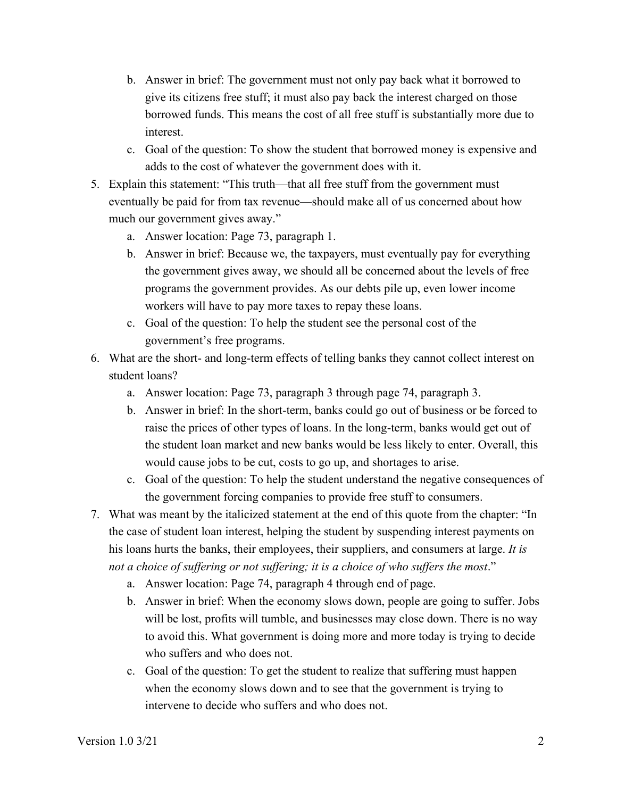- b. Answer in brief: The government must not only pay back what it borrowed to give its citizens free stuff; it must also pay back the interest charged on those borrowed funds. This means the cost of all free stuff is substantially more due to interest.
- c. Goal of the question: To show the student that borrowed money is expensive and adds to the cost of whatever the government does with it.
- 5. Explain this statement: "This truth—that all free stuff from the government must eventually be paid for from tax revenue—should make all of us concerned about how much our government gives away."
	- a. Answer location: Page 73, paragraph 1.
	- b. Answer in brief: Because we, the taxpayers, must eventually pay for everything the government gives away, we should all be concerned about the levels of free programs the government provides. As our debts pile up, even lower income workers will have to pay more taxes to repay these loans.
	- c. Goal of the question: To help the student see the personal cost of the government's free programs.
- 6. What are the short- and long-term effects of telling banks they cannot collect interest on student loans?
	- a. Answer location: Page 73, paragraph 3 through page 74, paragraph 3.
	- b. Answer in brief: In the short-term, banks could go out of business or be forced to raise the prices of other types of loans. In the long-term, banks would get out of the student loan market and new banks would be less likely to enter. Overall, this would cause jobs to be cut, costs to go up, and shortages to arise.
	- c. Goal of the question: To help the student understand the negative consequences of the government forcing companies to provide free stuff to consumers.
- 7. What was meant by the italicized statement at the end of this quote from the chapter: "In the case of student loan interest, helping the student by suspending interest payments on his loans hurts the banks, their employees, their suppliers, and consumers at large. *It is not a choice of suffering or not suffering; it is a choice of who suffers the most*."
	- a. Answer location: Page 74, paragraph 4 through end of page.
	- b. Answer in brief: When the economy slows down, people are going to suffer. Jobs will be lost, profits will tumble, and businesses may close down. There is no way to avoid this. What government is doing more and more today is trying to decide who suffers and who does not.
	- c. Goal of the question: To get the student to realize that suffering must happen when the economy slows down and to see that the government is trying to intervene to decide who suffers and who does not.